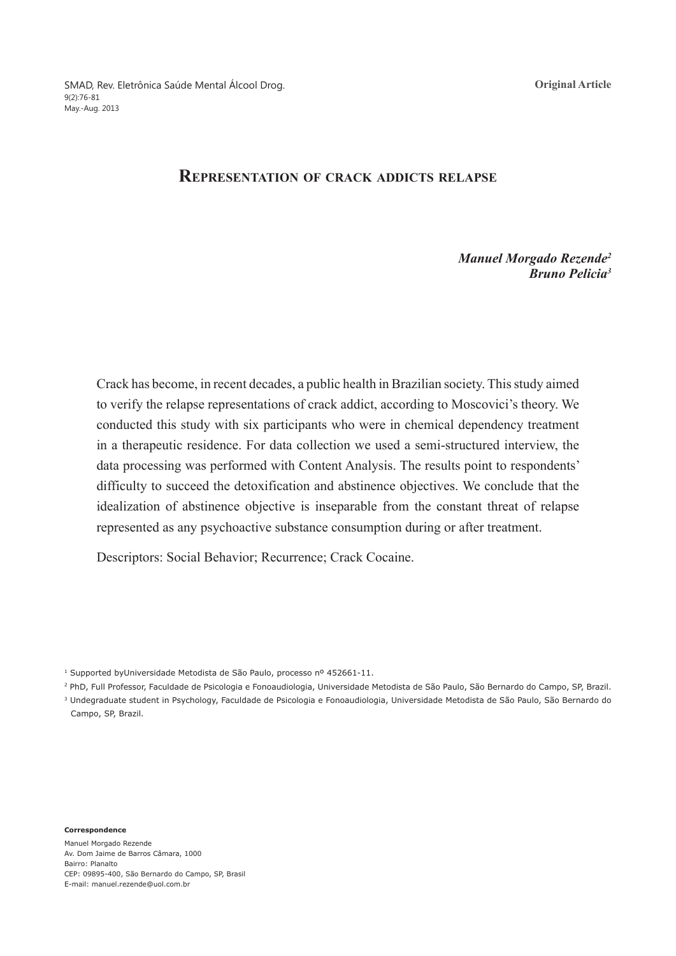# **Representation of crack addicts relapse**

# *Manuel Morgado Rezende2 Bruno Pelicia3*

Crack has become, in recent decades, a public health in Brazilian society. This study aimed to verify the relapse representations of crack addict, according to Moscovici's theory. We conducted this study with six participants who were in chemical dependency treatment in a therapeutic residence. For data collection we used a semi-structured interview, the data processing was performed with Content Analysis. The results point to respondents' difficulty to succeed the detoxification and abstinence objectives. We conclude that the idealization of abstinence objective is inseparable from the constant threat of relapse represented as any psychoactive substance consumption during or after treatment.

Descriptors: Social Behavior; Recurrence; Crack Cocaine.

**Correspondence** Manuel Morgado Rezende Av. Dom Jaime de Barros Câmara, 1000 Bairro: Planalto CEP: 09895-400, São Bernardo do Campo, SP, Brasil E-mail: manuel.rezende@uol.com.br

<sup>&</sup>lt;sup>1</sup> Supported byUniversidade Metodista de São Paulo, processo nº 452661-11.

<sup>&</sup>lt;sup>2</sup> PhD, Full Professor, Faculdade de Psicologia e Fonoaudiologia, Universidade Metodista de São Paulo, São Bernardo do Campo, SP, Brazil.

<sup>3</sup> Undegraduate student in Psychology, Faculdade de Psicologia e Fonoaudiologia, Universidade Metodista de São Paulo, São Bernardo do Campo, SP, Brazil.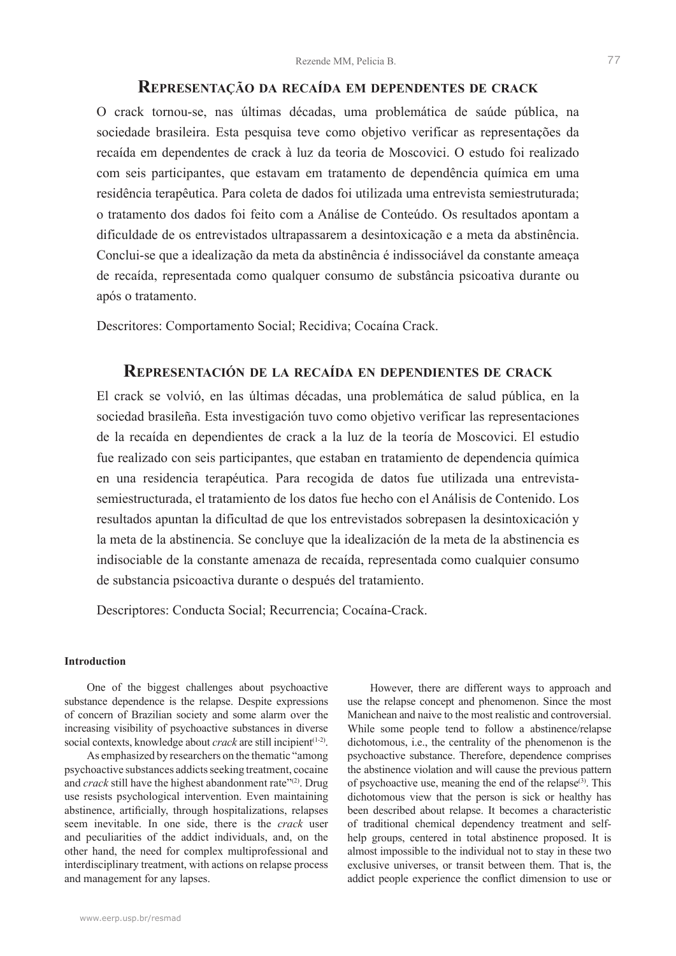# **Representação da recaída em dependentes de crack**

O crack tornou-se, nas últimas décadas, uma problemática de saúde pública, na sociedade brasileira. Esta pesquisa teve como objetivo verificar as representações da recaída em dependentes de crack à luz da teoria de Moscovici. O estudo foi realizado com seis participantes, que estavam em tratamento de dependência química em uma residência terapêutica. Para coleta de dados foi utilizada uma entrevista semiestruturada; o tratamento dos dados foi feito com a Análise de Conteúdo. Os resultados apontam a dificuldade de os entrevistados ultrapassarem a desintoxicação e a meta da abstinência. Conclui-se que a idealização da meta da abstinência é indissociável da constante ameaça de recaída, representada como qualquer consumo de substância psicoativa durante ou após o tratamento.

Descritores: Comportamento Social; Recidiva; Cocaína Crack.

# **Representación de la recaída en dependientes de crack**

El crack se volvió, en las últimas décadas, una problemática de salud pública, en la sociedad brasileña. Esta investigación tuvo como objetivo verificar las representaciones de la recaída en dependientes de crack a la luz de la teoría de Moscovici. El estudio fue realizado con seis participantes, que estaban en tratamiento de dependencia química en una residencia terapéutica. Para recogida de datos fue utilizada una entrevistasemiestructurada, el tratamiento de los datos fue hecho con el Análisis de Contenido. Los resultados apuntan la dificultad de que los entrevistados sobrepasen la desintoxicación y la meta de la abstinencia. Se concluye que la idealización de la meta de la abstinencia es indisociable de la constante amenaza de recaída, representada como cualquier consumo de substancia psicoactiva durante o después del tratamiento.

Descriptores: Conducta Social; Recurrencia; Cocaína-Crack.

# **Introduction**

One of the biggest challenges about psychoactive substance dependence is the relapse. Despite expressions of concern of Brazilian society and some alarm over the increasing visibility of psychoactive substances in diverse social contexts, knowledge about *crack* are still incipient<sup>(1-2)</sup>.

As emphasized by researchers on the thematic "among psychoactive substances addicts seeking treatment, cocaine and *crack* still have the highest abandonment rate"<sup>(2)</sup>. Drug use resists psychological intervention. Even maintaining abstinence, artificially, through hospitalizations, relapses seem inevitable. In one side, there is the *crack* user and peculiarities of the addict individuals, and, on the other hand, the need for complex multiprofessional and interdisciplinary treatment, with actions on relapse process and management for any lapses.

However, there are different ways to approach and use the relapse concept and phenomenon. Since the most Manichean and naive to the most realistic and controversial. While some people tend to follow a abstinence/relapse dichotomous, i.e., the centrality of the phenomenon is the psychoactive substance. Therefore, dependence comprises the abstinence violation and will cause the previous pattern of psychoactive use, meaning the end of the relapse $(3)$ . This dichotomous view that the person is sick or healthy has been described about relapse. It becomes a characteristic of traditional chemical dependency treatment and selfhelp groups, centered in total abstinence proposed. It is almost impossible to the individual not to stay in these two exclusive universes, or transit between them. That is, the addict people experience the conflict dimension to use or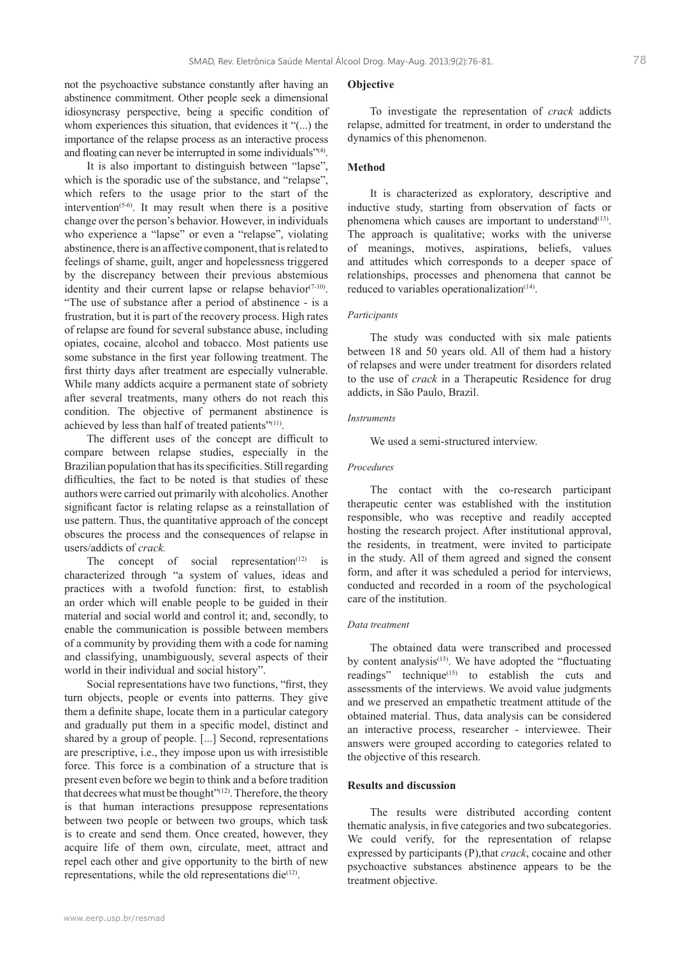not the psychoactive substance constantly after having an abstinence commitment. Other people seek a dimensional idiosyncrasy perspective, being a specific condition of whom experiences this situation, that evidences it "(...) the importance of the relapse process as an interactive process and floating can never be interrupted in some individuals"(4).

It is also important to distinguish between "lapse", which is the sporadic use of the substance, and "relapse", which refers to the usage prior to the start of the intervention<sup> $(5-6)$ </sup>. It may result when there is a positive change over the person's behavior. However, in individuals who experience a "lapse" or even a "relapse", violating abstinence, there is an affective component, that is related to feelings of shame, guilt, anger and hopelessness triggered by the discrepancy between their previous abstemious identity and their current lapse or relapse behavior<sup> $(7-10)$ </sup>. "The use of substance after a period of abstinence - is a frustration, but it is part of the recovery process. High rates of relapse are found for several substance abuse, including opiates, cocaine, alcohol and tobacco. Most patients use some substance in the first year following treatment. The first thirty days after treatment are especially vulnerable. While many addicts acquire a permanent state of sobriety after several treatments, many others do not reach this condition. The objective of permanent abstinence is achieved by less than half of treated patients"(11).

The different uses of the concept are difficult to compare between relapse studies, especially in the Brazilian population that has its specificities. Still regarding difficulties, the fact to be noted is that studies of these authors were carried out primarily with alcoholics. Another significant factor is relating relapse as a reinstallation of use pattern. Thus, the quantitative approach of the concept obscures the process and the consequences of relapse in users/addicts of *crack.*

The concept of social representation $(12)$  is characterized through "a system of values, ideas and practices with a twofold function: first, to establish an order which will enable people to be guided in their material and social world and control it; and, secondly, to enable the communication is possible between members of a community by providing them with a code for naming and classifying, unambiguously, several aspects of their world in their individual and social history".

Social representations have two functions, "first, they turn objects, people or events into patterns. They give them a definite shape, locate them in a particular category and gradually put them in a specific model, distinct and shared by a group of people. [...] Second, representations are prescriptive, i.e., they impose upon us with irresistible force. This force is a combination of a structure that is present even before we begin to think and a before tradition that decrees what must be thought"<sup>(12)</sup>. Therefore, the theory is that human interactions presuppose representations between two people or between two groups, which task is to create and send them. Once created, however, they acquire life of them own, circulate, meet, attract and repel each other and give opportunity to the birth of new representations, while the old representations die $(12)$ .

To investigate the representation of *crack* addicts relapse, admitted for treatment, in order to understand the dynamics of this phenomenon.

# **Method**

It is characterized as exploratory, descriptive and inductive study, starting from observation of facts or phenomena which causes are important to understand<sup>(13)</sup>. The approach is qualitative; works with the universe of meanings, motives, aspirations, beliefs, values and attitudes which corresponds to a deeper space of relationships, processes and phenomena that cannot be reduced to variables operationalization<sup>(14)</sup>.

# *Participants*

The study was conducted with six male patients between 18 and 50 years old. All of them had a history of relapses and were under treatment for disorders related to the use of *crack* in a Therapeutic Residence for drug addicts, in São Paulo, Brazil.

## *Instruments*

We used a semi-structured interview.

## *Procedures*

The contact with the co-research participant therapeutic center was established with the institution responsible, who was receptive and readily accepted hosting the research project. After institutional approval, the residents, in treatment, were invited to participate in the study. All of them agreed and signed the consent form, and after it was scheduled a period for interviews, conducted and recorded in a room of the psychological care of the institution.

#### *Data treatment*

The obtained data were transcribed and processed by content analysis<sup> $(15)$ </sup>. We have adopted the "fluctuating" readings" technique<sup> $(15)$ </sup> to establish the cuts and assessments of the interviews. We avoid value judgments and we preserved an empathetic treatment attitude of the obtained material. Thus, data analysis can be considered an interactive process, researcher - interviewee. Their answers were grouped according to categories related to the objective of this research.

### **Results and discussion**

The results were distributed according content thematic analysis, in five categories and two subcategories. We could verify, for the representation of relapse expressed by participants (P),that *crack*, cocaine and other psychoactive substances abstinence appears to be the treatment objective.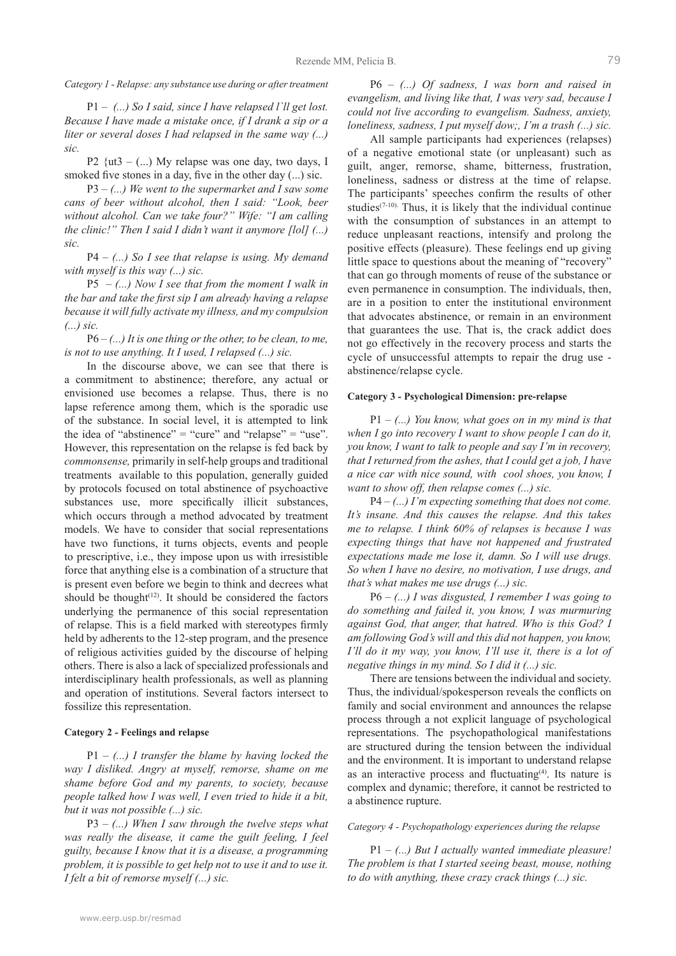*Category 1 - Relapse: any substance use during or after treatment*

P1 – *(...) So I said, since I have relapsed l`ll get lost. Because I have made a mistake once, if I drank a sip or a liter or several doses I had relapsed in the same way (...) sic.*

P2  $\{ut3 - (\dots)$  My relapse was one day, two days, I smoked five stones in a day, five in the other day  $(...)$  sic.

P3 – *(...) We went to the supermarket and I saw some cans of beer without alcohol, then I said: "Look, beer without alcohol. Can we take four?" Wife: "I am calling the clinic!" Then I said I didn't want it anymore [lol] (...) sic.*

P4 – *(...) So I see that relapse is using. My demand with myself is this way (...) sic.*

P5 – *(...) Now I see that from the moment I walk in the bar and take the first sip I am already having a relapse because it will fully activate my illness, and my compulsion (...) sic.*

P6 – *(...) It is one thing or the other, to be clean, to me, is not to use anything. It I used, I relapsed (...) sic.*

In the discourse above, we can see that there is a commitment to abstinence; therefore, any actual or envisioned use becomes a relapse. Thus, there is no lapse reference among them, which is the sporadic use of the substance. In social level, it is attempted to link the idea of "abstinence" = "cure" and "relapse" = "use". However, this representation on the relapse is fed back by *commonsense,* primarily in self-help groups and traditional treatments available to this population, generally guided by protocols focused on total abstinence of psychoactive substances use, more specifically illicit substances, which occurs through a method advocated by treatment models. We have to consider that social representations have two functions, it turns objects, events and people to prescriptive, i.e., they impose upon us with irresistible force that anything else is a combination of a structure that is present even before we begin to think and decrees what should be thought $(12)$ . It should be considered the factors underlying the permanence of this social representation of relapse. This is a field marked with stereotypes firmly held by adherents to the 12-step program, and the presence of religious activities guided by the discourse of helping others. There is also a lack of specialized professionals and interdisciplinary health professionals, as well as planning and operation of institutions. Several factors intersect to fossilize this representation.

### **Category 2** *-* **Feelings and relapse**

P1 – *(...) I transfer the blame by having locked the way I disliked. Angry at myself, remorse, shame on me shame before God and my parents, to society, because people talked how I was well, I even tried to hide it a bit, but it was not possible (...) sic.*

P3 – *(...) When I saw through the twelve steps what was really the disease, it came the guilt feeling, I feel guilty, because I know that it is a disease, a programming problem, it is possible to get help not to use it and to use it. I felt a bit of remorse myself (...) sic.*

P6 – *(...) Of sadness, I was born and raised in evangelism, and living like that, I was very sad, because I could not live according to evangelism. Sadness, anxiety, loneliness, sadness, I put myself dow;, I'm a trash (...) sic.*

All sample participants had experiences (relapses) of a negative emotional state (or unpleasant) such as guilt, anger, remorse, shame, bitterness, frustration, loneliness, sadness or distress at the time of relapse. The participants' speeches confirm the results of other studies $(7-10)$ . Thus, it is likely that the individual continue with the consumption of substances in an attempt to reduce unpleasant reactions, intensify and prolong the positive effects (pleasure). These feelings end up giving little space to questions about the meaning of "recovery" that can go through moments of reuse of the substance or even permanence in consumption. The individuals, then, are in a position to enter the institutional environment that advocates abstinence, or remain in an environment that guarantees the use. That is, the crack addict does not go effectively in the recovery process and starts the cycle of unsuccessful attempts to repair the drug use abstinence/relapse cycle.

#### **Category 3** *-* **Psychological Dimension: pre-relapse**

P1 – *(...) You know, what goes on in my mind is that when I go into recovery I want to show people I can do it, you know, I want to talk to people and say I'm in recovery, that I returned from the ashes, that I could get a job, I have a nice car with nice sound, with cool shoes, you know, I want to show off, then relapse comes (...) sic.*

P4 – *(...) I'm expecting something that does not come. It's insane. And this causes the relapse. And this takes me to relapse. I think 60% of relapses is because I was expecting things that have not happened and frustrated expectations made me lose it, damn. So I will use drugs. So when I have no desire, no motivation, I use drugs, and that's what makes me use drugs (...) sic.*

P6 – *(...) I was disgusted, I remember I was going to do something and failed it, you know, I was murmuring against God, that anger, that hatred. Who is this God? I am following God's will and this did not happen, you know, I'll do it my way, you know, I'll use it, there is a lot of negative things in my mind. So I did it (...) sic.*

There are tensions between the individual and society. Thus, the individual/spokesperson reveals the conflicts on family and social environment and announces the relapse process through a not explicit language of psychological representations. The psychopathological manifestations are structured during the tension between the individual and the environment. It is important to understand relapse as an interactive process and fluctuating $(4)$ . Its nature is complex and dynamic; therefore, it cannot be restricted to a abstinence rupture.

## *Category 4 - Psychopathology experiences during the relapse*

P1 – *(...) But I actually wanted immediate pleasure! The problem is that I started seeing beast, mouse, nothing to do with anything, these crazy crack things (...) sic.*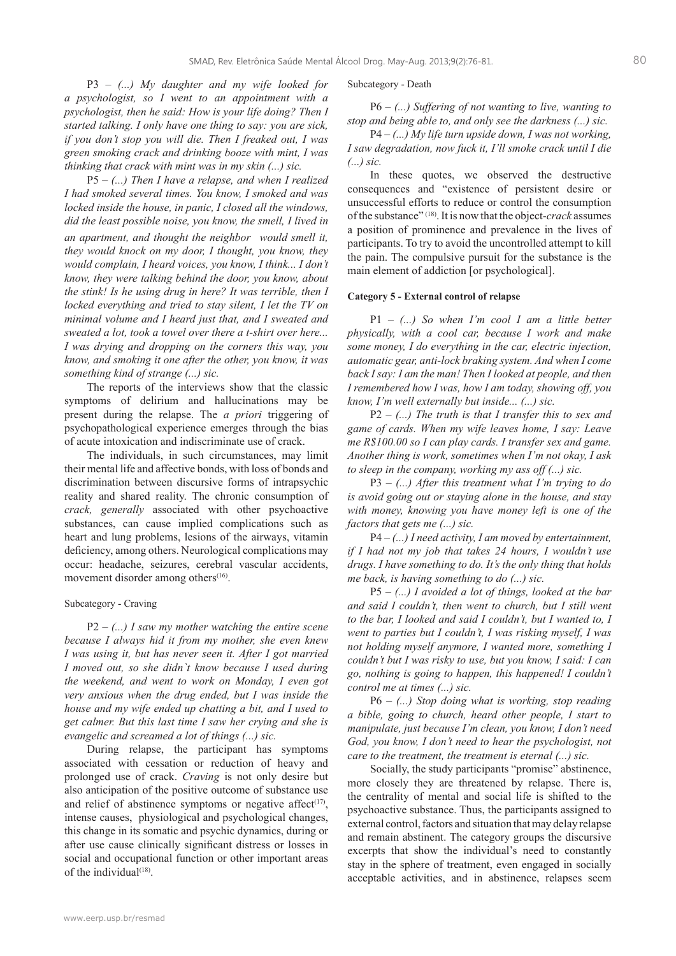P3 – *(...) My daughter and my wife looked for a psychologist, so I went to an appointment with a psychologist, then he said: How is your life doing? Then I started talking. I only have one thing to say: you are sick, if you don't stop you will die. Then I freaked out, I was green smoking crack and drinking booze with mint, I was thinking that crack with mint was in my skin (...) sic.*

P5 – *(...) Then I have a relapse, and when I realized I had smoked several times. You know, I smoked and was locked inside the house, in panic, I closed all the windows, did the least possible noise, you know, the smell, I lived in an apartment, and thought the neighbor would smell it, they would knock on my door, I thought, you know, they would complain, I heard voices, you know, I think... I don't know, they were talking behind the door, you know, about the stink! Is he using drug in here? It was terrible, then I locked everything and tried to stay silent, I let the TV on minimal volume and I heard just that, and I sweated and sweated a lot, took a towel over there a t-shirt over here... I was drying and dropping on the corners this way, you know, and smoking it one after the other, you know, it was something kind of strange (...) sic.*

The reports of the interviews show that the classic symptoms of delirium and hallucinations may be present during the relapse. The *a priori* triggering of psychopathological experience emerges through the bias of acute intoxication and indiscriminate use of crack.

The individuals, in such circumstances, may limit their mental life and affective bonds, with loss of bonds and discrimination between discursive forms of intrapsychic reality and shared reality. The chronic consumption of *crack, generally* associated with other psychoactive substances, can cause implied complications such as heart and lung problems, lesions of the airways, vitamin deficiency, among others. Neurological complications may occur: headache, seizures, cerebral vascular accidents, movement disorder among others<sup>(16)</sup>.

## Subcategory - Craving

P2 – *(...) I saw my mother watching the entire scene because I always hid it from my mother, she even knew I was using it, but has never seen it. After I got married I moved out, so she didn`t know because I used during the weekend, and went to work on Monday, I even got very anxious when the drug ended, but I was inside the house and my wife ended up chatting a bit, and I used to get calmer. But this last time I saw her crying and she is evangelic and screamed a lot of things (...) sic.*

During relapse, the participant has symptoms associated with cessation or reduction of heavy and prolonged use of crack. *Craving* is not only desire but also anticipation of the positive outcome of substance use and relief of abstinence symptoms or negative affect<sup>(17)</sup>, intense causes, physiological and psychological changes, this change in its somatic and psychic dynamics, during or after use cause clinically significant distress or losses in social and occupational function or other important areas of the individual<sup>(18)</sup>.

Subcategory - Death

P6 – *(...) Suffering of not wanting to live, wanting to stop and being able to, and only see the darkness (...) sic.*

P4 – *(...) My life turn upside down, I was not working, I saw degradation, now fuck it, I'll smoke crack until I die (...) sic.*

In these quotes, we observed the destructive consequences and "existence of persistent desire or unsuccessful efforts to reduce or control the consumption of the substance" (18). It is now that the object-*crack* assumes a position of prominence and prevalence in the lives of participants. To try to avoid the uncontrolled attempt to kill the pain. The compulsive pursuit for the substance is the main element of addiction [or psychological].

### **Category 5** *-* **External control of relapse**

P1 – *(...) So when I'm cool I am a little better physically, with a cool car, because I work and make some money, I do everything in the car, electric injection, automatic gear, anti-lock braking system. And when I come back I say: I am the man! Then I looked at people, and then I remembered how I was, how I am today, showing off, you know, I'm well externally but inside... (...) sic.*

P2 – *(...) The truth is that I transfer this to sex and game of cards. When my wife leaves home, I say: Leave me R\$100.00 so I can play cards. I transfer sex and game. Another thing is work, sometimes when I'm not okay, I ask to sleep in the company, working my ass off (...) sic.*

P3 – *(...) After this treatment what I'm trying to do is avoid going out or staying alone in the house, and stay with money, knowing you have money left is one of the factors that gets me (...) sic.*

P4 – *(...) I need activity, I am moved by entertainment, if I had not my job that takes 24 hours, I wouldn't use drugs. I have something to do. It's the only thing that holds me back, is having something to do (...) sic.*

P5 – *(...) I avoided a lot of things, looked at the bar and said I couldn't, then went to church, but I still went to the bar, I looked and said I couldn't, but I wanted to, I went to parties but I couldn't, I was risking myself, I was not holding myself anymore, I wanted more, something I couldn't but I was risky to use, but you know, I said: I can go, nothing is going to happen, this happened! I couldn't control me at times (...) sic.*

P6 – *(...) Stop doing what is working, stop reading a bible, going to church, heard other people, I start to manipulate, just because I'm clean, you know, I don't need God, you know, I don't need to hear the psychologist, not care to the treatment, the treatment is eternal (...) sic.*

Socially, the study participants "promise" abstinence, more closely they are threatened by relapse. There is, the centrality of mental and social life is shifted to the psychoactive substance. Thus, the participants assigned to external control, factors and situation that may delay relapse and remain abstinent. The category groups the discursive excerpts that show the individual's need to constantly stay in the sphere of treatment, even engaged in socially acceptable activities, and in abstinence, relapses seem